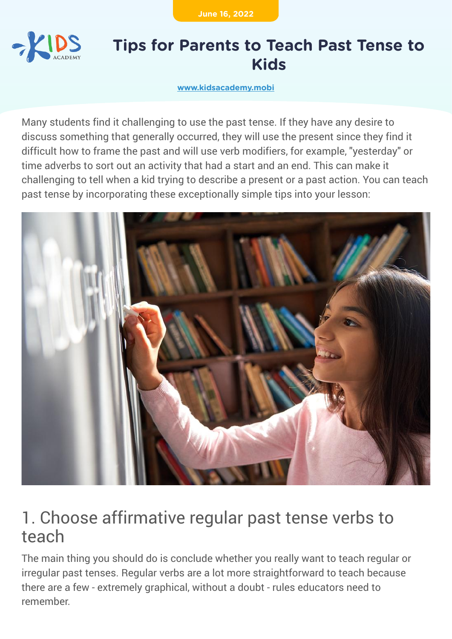**June 16, 2022**



#### **Tips for Parents to Teach Past Tense to Kids**

**[www.kidsacademy.mobi](https://www.kidsacademy.mobi/)**

Many students find it challenging to use the past tense. If they have any desire to discuss something that generally occurred, they will use the present since they find it difficult how to frame the past and will use verb modifiers, for example, "yesterday" or time adverbs to sort out an activity that had a start and an end. This can make it challenging to tell when a kid trying to describe a present or a past action. You can teach past tense by incorporating these exceptionally simple tips into your lesson:



#### 1. Choose affirmative regular past tense verbs to teach

The main thing you should do is conclude whether you really want to teach regular or irregular past tenses. Regular verbs are a lot more straightforward to teach because there are a few - extremely graphical, without a doubt - rules educators need to remember.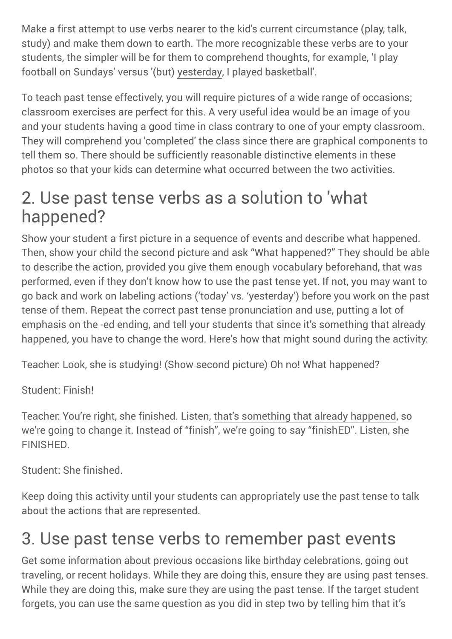Make a first attempt to use verbs nearer to the kid's current circumstance (play, talk, study) and make them down to earth. The more recognizable these verbs are to your students, the simpler will be for them to comprehend thoughts, for example, 'I play football on Sundays' versus '(but) yesterday, I played basketball'.

To teach past tense effectively, you will require pictures of a wide range of occasions; classroom exercises are perfect for this. A very useful idea would be an image of you and your students having a good time in class contrary to one of your empty classroom. They will comprehend you 'completed' the class since there are graphical components to tell them so. There should be sufficiently reasonable distinctive elements in these photos so that your kids can determine what occurred between the two activities.

## 2. Use past tense verbs as a solution to 'what happened?

Show your student a first picture in a sequence of events and describe what happened. Then, show your child the second picture and ask "What happened?" They should be able to describe the action, provided you give them enough vocabulary beforehand, that was performed, even if they don't know how to use the past tense yet. If not, you may want to go back and work on labeling actions ('today' vs. 'yesterday') before you work on the past tense of them. Repeat the correct past tense pronunciation and use, putting a lot of emphasis on the -ed ending, and tell your students that since it's something that already happened, you have to change the word. Here's how that might sound during the activity:

Teacher: Look, she is studying! (Show second picture) Oh no! What happened?

Student: Finish!

Teacher: You're right, she finished. Listen, that's something that already happened, so we're going to change it. Instead of "finish", we're going to say "finishED". Listen, she FINISHED.

Student: She finished.

Keep doing this activity until your students can appropriately use the past tense to talk about the actions that are represented.

## 3. Use past tense verbs to remember past events

Get some information about previous occasions like birthday celebrations, going out traveling, or recent holidays. While they are doing this, ensure they are using past tenses. While they are doing this, make sure they are using the past tense. If the target student forgets, you can use the same question as you did in step two by telling him that it's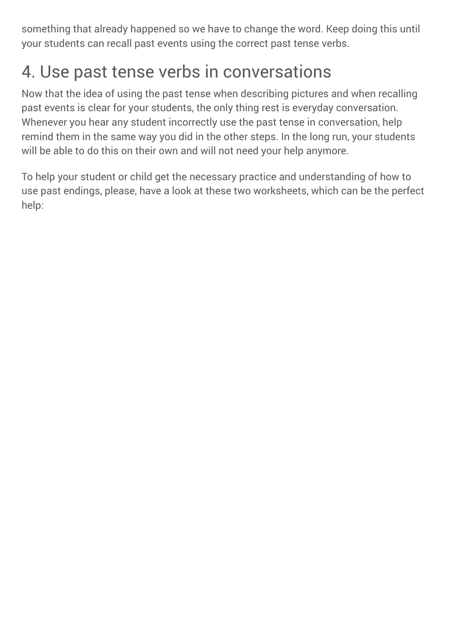something that already happened so we have to change the word. Keep doing this until your students can recall past events using the correct past tense verbs.

# 4. Use past tense verbs in conversations

Now that the idea of using the past tense when describing pictures and when recalling past events is clear for your students, the only thing rest is everyday conversation. Whenever you hear any student incorrectly use the past tense in conversation, help remind them in the same way you did in the other steps. In the long run, your students will be able to do this on their own and will not need your help anymore.

To help your student or child get the necessary practice and understanding of how to use past endings, please, have a look at these two worksheets, which can be the perfect help: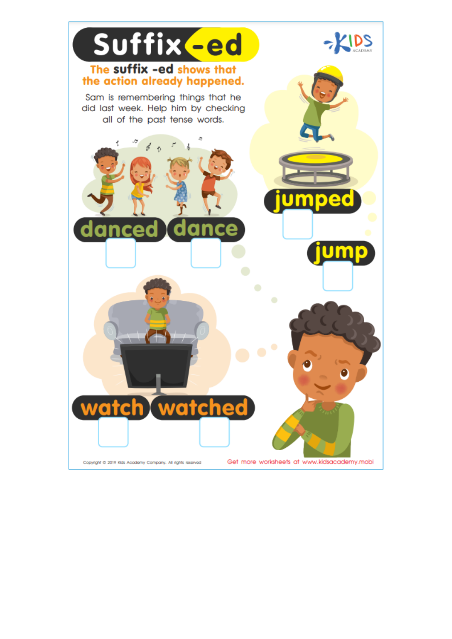